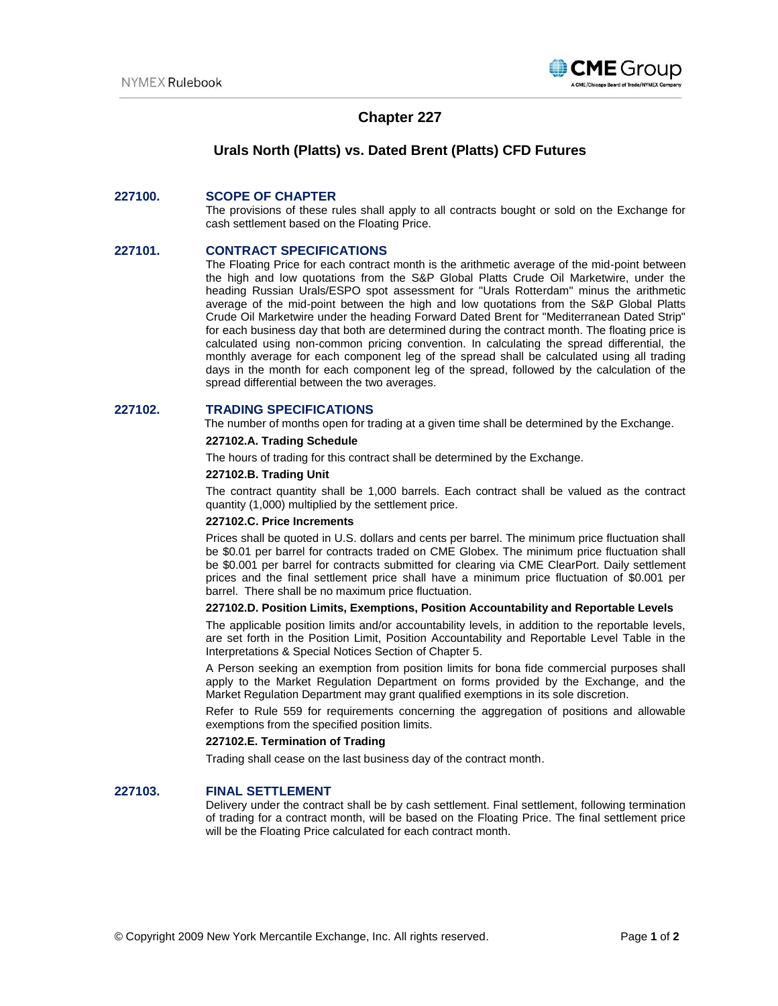

# **Chapter 227**

## **Urals North (Platts) vs. Dated Brent (Platts) CFD Futures**

## **227100. SCOPE OF CHAPTER**

The provisions of these rules shall apply to all contracts bought or sold on the Exchange for cash settlement based on the Floating Price.

## **227101. CONTRACT SPECIFICATIONS**

The Floating Price for each contract month is the arithmetic average of the mid-point between the high and low quotations from the S&P Global Platts Crude Oil Marketwire, under the heading Russian Urals/ESPO spot assessment for "Urals Rotterdam" minus the arithmetic average of the mid-point between the high and low quotations from the S&P Global Platts Crude Oil Marketwire under the heading Forward Dated Brent for "Mediterranean Dated Strip" for each business day that both are determined during the contract month. The floating price is calculated using non-common pricing convention. In calculating the spread differential, the monthly average for each component leg of the spread shall be calculated using all trading days in the month for each component leg of the spread, followed by the calculation of the spread differential between the two averages.

### **227102. TRADING SPECIFICATIONS**

The number of months open for trading at a given time shall be determined by the Exchange.

#### **227102.A. Trading Schedule**

The hours of trading for this contract shall be determined by the Exchange.

#### **227102.B. Trading Unit**

The contract quantity shall be 1,000 barrels. Each contract shall be valued as the contract quantity (1,000) multiplied by the settlement price.

## **227102.C. Price Increments**

Prices shall be quoted in U.S. dollars and cents per barrel. The minimum price fluctuation shall be \$0.01 per barrel for contracts traded on CME Globex. The minimum price fluctuation shall be \$0.001 per barrel for contracts submitted for clearing via CME ClearPort. Daily settlement prices and the final settlement price shall have a minimum price fluctuation of \$0.001 per barrel. There shall be no maximum price fluctuation.

## **227102.D. Position Limits, Exemptions, Position Accountability and Reportable Levels**

The applicable position limits and/or accountability levels, in addition to the reportable levels, are set forth in the Position Limit, Position Accountability and Reportable Level Table in the Interpretations & Special Notices Section of Chapter 5.

A Person seeking an exemption from position limits for bona fide commercial purposes shall apply to the Market Regulation Department on forms provided by the Exchange, and the Market Regulation Department may grant qualified exemptions in its sole discretion.

Refer to Rule 559 for requirements concerning the aggregation of positions and allowable exemptions from the specified position limits.

#### **227102.E. Termination of Trading**

Trading shall cease on the last business day of the contract month.

#### **227103. FINAL SETTLEMENT**

Delivery under the contract shall be by cash settlement. Final settlement, following termination of trading for a contract month, will be based on the Floating Price. The final settlement price will be the Floating Price calculated for each contract month.